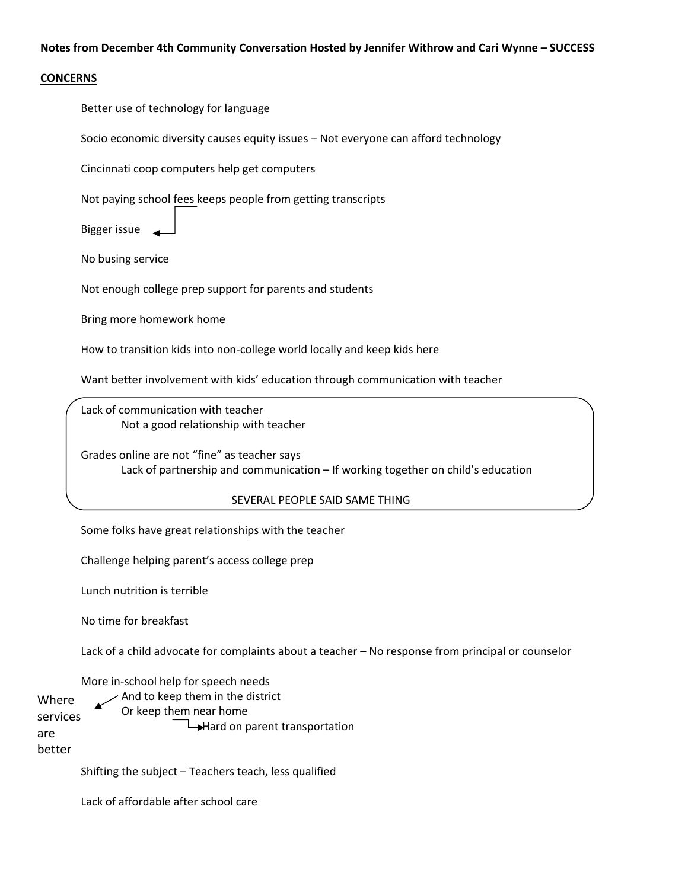## **CONCERNS**

Better use of technology for language

Socio economic diversity causes equity issues – Not everyone can afford technology

Cincinnati coop computers help get computers

Not paying school fees keeps people from getting transcripts

Bigger issue

No busing service

Not enough college prep support for parents and students

Bring more homework home

How to transition kids into non-college world locally and keep kids here

Want better involvement with kids' education through communication with teacher

Lack of communication with teacher Not a good relationship with teacher

Grades online are not "fine" as teacher says Lack of partnership and communication – If working together on child's education

## SEVERAL PEOPLE SAID SAME THING

Some folks have great relationships with the teacher

Challenge helping parent's access college prep

Lunch nutrition is terrible

No time for breakfast

Lack of a child advocate for complaints about a teacher – No response from principal or counselor

More in‐school help for speech needs

And to keep them in the district Or keep them near home  $\rightarrow$ Hard on parent transportation Where services are

better

Shifting the subject – Teachers teach, less qualified

Lack of affordable after school care